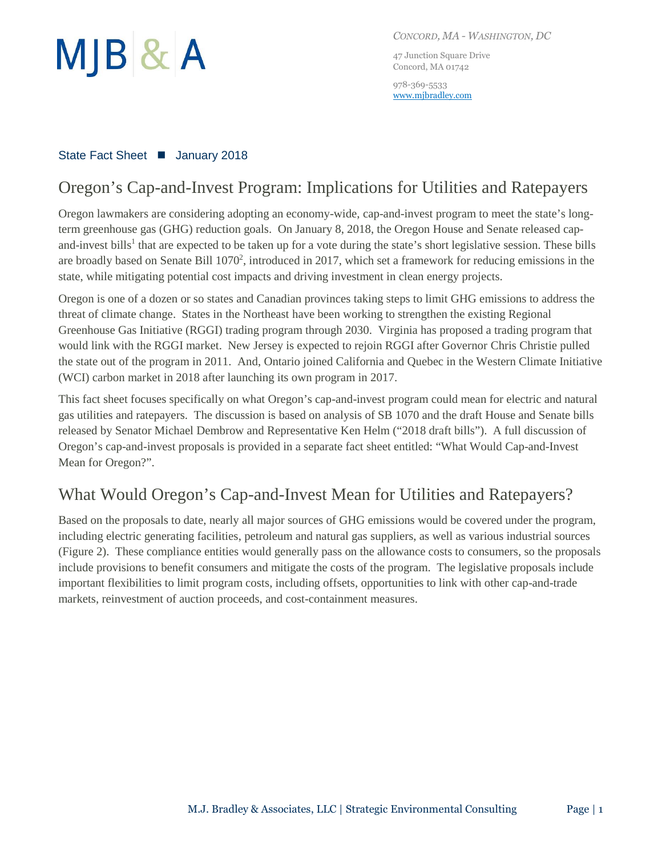

*CONCORD, MA - WASHINGTON, DC*

47 Junction Square Drive Concord, MA 01742

978-369-5533 [www.mjbradley.com](http://www.mjbradley.com/)

### State Fact Sheet ■ January 2018

## Oregon's Cap-and-Invest Program: Implications for Utilities and Ratepayers

Oregon lawmakers are considering adopting an economy-wide, cap-and-invest program to meet the state's longterm greenhouse gas (GHG) reduction goals. On January 8, 2018, the Oregon House and Senate released capand-invest bills<sup>1</sup> that are expected to be taken up for a vote during the state's short legislative session. These bills are broadly based on Senate Bill  $1070^2$ , introduced in 2017, which set a framework for reducing emissions in the state, while mitigating potential cost impacts and driving investment in clean energy projects.

Oregon is one of a dozen or so states and Canadian provinces taking steps to limit GHG emissions to address the threat of climate change. States in the Northeast have been working to strengthen the existing Regional Greenhouse Gas Initiative (RGGI) trading program through 2030. Virginia has proposed a trading program that would link with the RGGI market. New Jersey is expected to rejoin RGGI after Governor Chris Christie pulled the state out of the program in 2011. And, Ontario joined California and Quebec in the Western Climate Initiative (WCI) carbon market in 2018 after launching its own program in 2017.

This fact sheet focuses specifically on what Oregon's cap-and-invest program could mean for electric and natural gas utilities and ratepayers. The discussion is based on analysis of SB 1070 and the draft House and Senate bills released by Senator Michael Dembrow and Representative Ken Helm ("2018 draft bills"). A full discussion of Oregon's cap-and-invest proposals is provided in a separate fact sheet entitled: "What Would Cap-and-Invest Mean for Oregon?".

# What Would Oregon's Cap-and-Invest Mean for Utilities and Ratepayers?

Based on the proposals to date, nearly all major sources of GHG emissions would be covered under the program, including electric generating facilities, petroleum and natural gas suppliers, as well as various industrial sources (Figure 2). These compliance entities would generally pass on the allowance costs to consumers, so the proposals include provisions to benefit consumers and mitigate the costs of the program. The legislative proposals include important flexibilities to limit program costs, including offsets, opportunities to link with other cap-and-trade markets, reinvestment of auction proceeds, and cost-containment measures.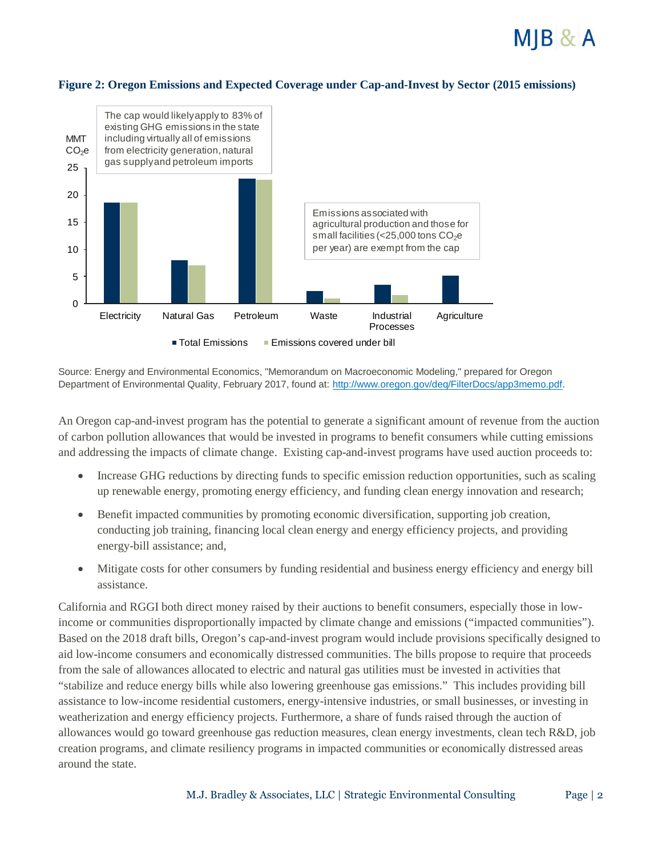



Source: Energy and Environmental Economics, "Memorandum on Macroeconomic Modeling," prepared for Oregon Department of Environmental Quality, February 2017, found at: [http://www.oregon.gov/deq/FilterDocs/app3memo.pdf.](http://www.oregon.gov/deq/FilterDocs/app3memo.pdf)

An Oregon cap-and-invest program has the potential to generate a significant amount of revenue from the auction of carbon pollution allowances that would be invested in programs to benefit consumers while cutting emissions and addressing the impacts of climate change. Existing cap-and-invest programs have used auction proceeds to:

- Increase GHG reductions by directing funds to specific emission reduction opportunities, such as scaling up renewable energy, promoting energy efficiency, and funding clean energy innovation and research;
- Benefit impacted communities by promoting economic diversification, supporting job creation, conducting job training, financing local clean energy and energy efficiency projects, and providing energy-bill assistance; and,
- Mitigate costs for other consumers by funding residential and business energy efficiency and energy bill assistance.

California and RGGI both direct money raised by their auctions to benefit consumers, especially those in lowincome or communities disproportionally impacted by climate change and emissions ("impacted communities"). Based on the 2018 draft bills, Oregon's cap-and-invest program would include provisions specifically designed to aid low-income consumers and economically distressed communities. The bills propose to require that proceeds from the sale of allowances allocated to electric and natural gas utilities must be invested in activities that "stabilize and reduce energy bills while also lowering greenhouse gas emissions." This includes providing bill assistance to low-income residential customers, energy-intensive industries, or small businesses, or investing in weatherization and energy efficiency projects. Furthermore, a share of funds raised through the auction of allowances would go toward greenhouse gas reduction measures, clean energy investments, clean tech R&D, job creation programs, and climate resiliency programs in impacted communities or economically distressed areas around the state.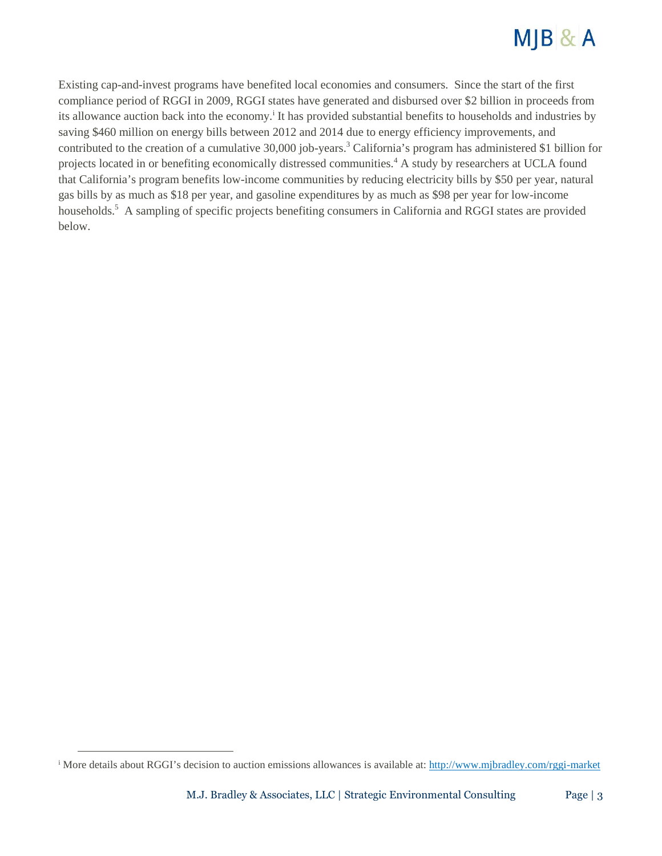

Existing cap-and-invest programs have benefited local economies and consumers. Since the start of the first compliance period of RGGI in 2009, RGGI states have generated and disbursed over \$2 billion in proceeds from its allowance auction back into the economy.<sup>i</sup> It has provided substantial benefits to households and industries by saving \$460 million on energy bills between 2012 and 2014 due to energy efficiency improvements, and contributed to the creation of a cumulative 30,000 job-years.<sup>3</sup> California's program has administered \$1 billion for projects located in or benefiting economically distressed communities.<sup>4</sup> A study by researchers at UCLA found that California's program benefits low-income communities by reducing electricity bills by \$50 per year, natural gas bills by as much as \$18 per year, and gasoline expenditures by as much as \$98 per year for low-income households.<sup>5</sup> A sampling of specific projects benefiting consumers in California and RGGI states are provided below.

 $\overline{a}$ 

<sup>&</sup>lt;sup>i</sup> More details about RGGI's decision to auction emissions allowances is available at: <http://www.mjbradley.com/rggi-market>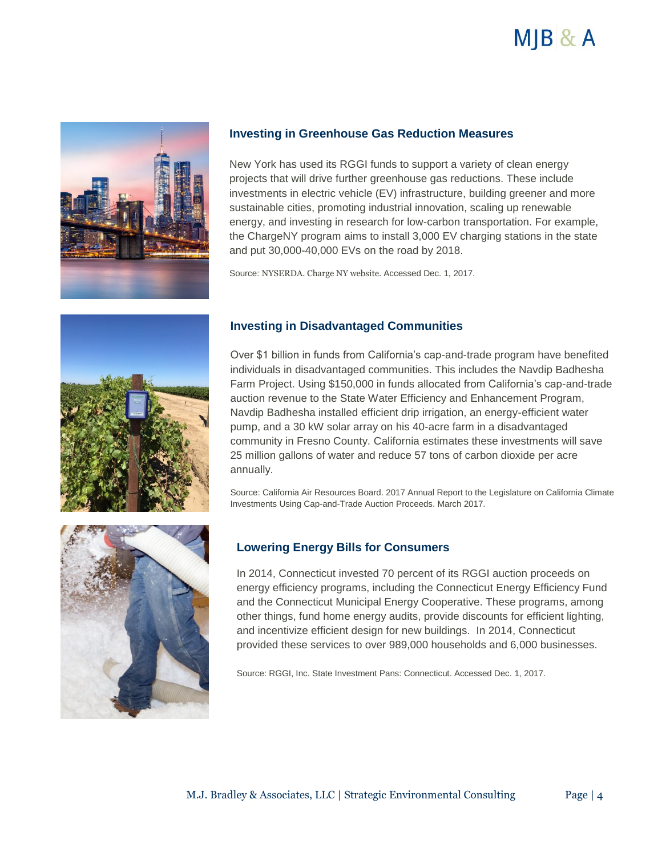



#### **Investing in Greenhouse Gas Reduction Measures**

New York has used its RGGI funds to support a variety of clean energy projects that will drive further greenhouse gas reductions. These include investments in electric vehicle (EV) infrastructure, building greener and more sustainable cities, promoting industrial innovation, scaling up renewable energy, and investing in research for low-carbon transportation. For example, the ChargeNY program aims to install 3,000 EV charging stations in the state and put 30,000-40,000 EVs on the road by 2018.

Source: NYSERDA. Charge NY website. Accessed Dec. 1, 2017.



#### **Investing in Disadvantaged Communities**

Over \$1 billion in funds from California's cap-and-trade program have benefited individuals in disadvantaged communities. This includes the Navdip Badhesha Farm Project. Using \$150,000 in funds allocated from California's cap-and-trade auction revenue to the State Water Efficiency and Enhancement Program, Navdip Badhesha installed efficient drip irrigation, an energy-efficient water pump, and a 30 kW solar array on his 40-acre farm in a disadvantaged community in Fresno County. California estimates these investments will save 25 million gallons of water and reduce 57 tons of carbon dioxide per acre annually.

Source: California Air Resources Board. 2017 Annual Report to the Legislature on California Climate Investments Using Cap-and-Trade Auction Proceeds. March 2017.



### **Lowering Energy Bills for Consumers**

In 2014, Connecticut invested 70 percent of its RGGI auction proceeds on energy efficiency programs, including the Connecticut Energy Efficiency Fund and the Connecticut Municipal Energy Cooperative. These programs, among other things, fund home energy audits, provide discounts for efficient lighting, and incentivize efficient design for new buildings. In 2014, Connecticut provided these services to over 989,000 households and 6,000 businesses.

Source: RGGI, Inc. State Investment Pans: Connecticut. Accessed Dec. 1, 2017.